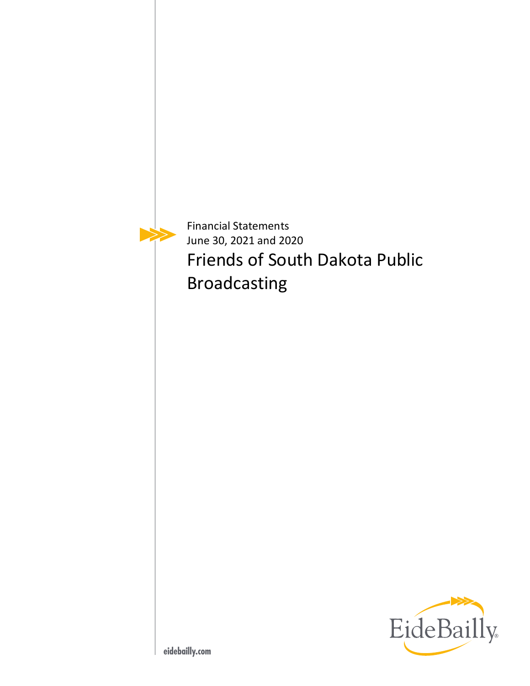

Financial Statements June 30, 2021 and 2020 Friends of South Dakota Public Broadcasting

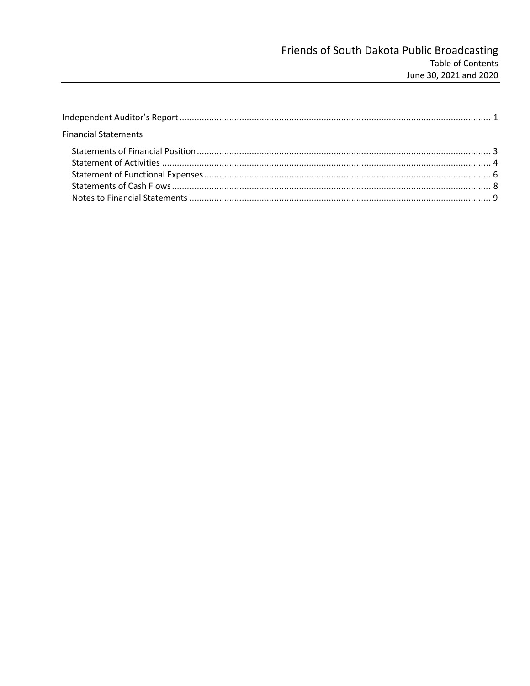| <b>Financial Statements</b> |  |
|-----------------------------|--|
|                             |  |
|                             |  |
|                             |  |
|                             |  |
|                             |  |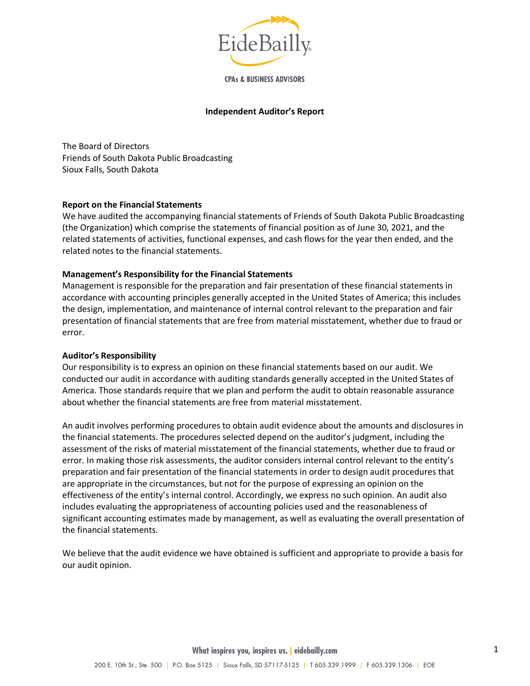

**CPAs & BUSINESS ADVISORS** 

#### **Independent Auditor's Report**

The Board of Directors Friends of South Dakota Public Broadcasting Sioux Falls, South Dakota

#### **Report on the Financial Statements**

We have audited the accompanying financial statements of Friends of South Dakota Public Broadcasting (the Organization) which comprise the statements of financial position as of June 30, 2021, and the related statements of activities, functional expenses, and cash flows for the year then ended, and the related notes to the financial statements.

#### **Management's Responsibility for the Financial Statements**

Management is responsible for the preparation and fair presentation of these financial statements in accordance with accounting principles generally accepted in the United States of America; this includes the design, implementation, and maintenance of internal control relevant to the preparation and fair presentation of financial statements that are free from material misstatement, whether due to fraud or error.

## **Auditor's Responsibility**

Our responsibility is to express an opinion on these financial statements based on our audit. We conducted our audit in accordance with auditing standards generally accepted in the United States of America. Those standards require that we plan and perform the audit to obtain reasonable assurance about whether the financial statements are free from material misstatement.

An audit involves performing procedures to obtain audit evidence about the amounts and disclosures in the financial statements. The procedures selected depend on the auditor's judgment, including the assessment of the risks of material misstatement of the financial statements, whether due to fraud or error. In making those risk assessments, the auditor considers internal control relevant to the entity's preparation and fair presentation of the financial statements in order to design audit procedures that are appropriate in the circumstances, but not for the purpose of expressing an opinion on the effectiveness of the entity's internal control. Accordingly, we express no such opinion. An audit also includes evaluating the appropriateness of accounting policies used and the reasonableness of significant accounting estimates made by management, as well as evaluating the overall presentation of the financial statements.

We believe that the audit evidence we have obtained is sufficient and appropriate to provide a basis for our audit opinion.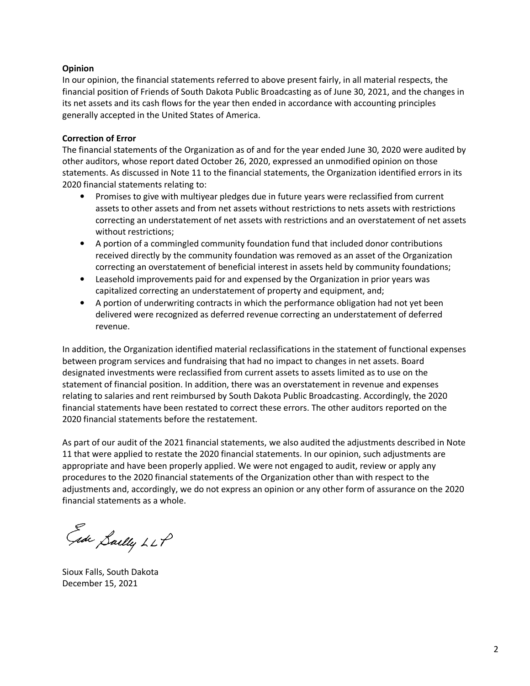## **Opinion**

In our opinion, the financial statements referred to above present fairly, in all material respects, the financial position of Friends of South Dakota Public Broadcasting as of June 30, 2021, and the changes in its net assets and its cash flows for the year then ended in accordance with accounting principles generally accepted in the United States of America.

## **Correction of Error**

The financial statements of the Organization as of and for the year ended June 30, 2020 were audited by other auditors, whose report dated October 26, 2020, expressed an unmodified opinion on those statements. As discussed in Note 11 to the financial statements, the Organization identified errors in its 2020 financial statements relating to:

- Promises to give with multiyear pledges due in future years were reclassified from current assets to other assets and from net assets without restrictions to nets assets with restrictions correcting an understatement of net assets with restrictions and an overstatement of net assets without restrictions;
- A portion of a commingled community foundation fund that included donor contributions received directly by the community foundation was removed as an asset of the Organization correcting an overstatement of beneficial interest in assets held by community foundations;
- Leasehold improvements paid for and expensed by the Organization in prior years was capitalized correcting an understatement of property and equipment, and;
- A portion of underwriting contracts in which the performance obligation had not yet been delivered were recognized as deferred revenue correcting an understatement of deferred revenue.

In addition, the Organization identified material reclassifications in the statement of functional expenses between program services and fundraising that had no impact to changes in net assets. Board designated investments were reclassified from current assets to assets limited as to use on the statement of financial position. In addition, there was an overstatement in revenue and expenses relating to salaries and rent reimbursed by South Dakota Public Broadcasting. Accordingly, the 2020 financial statements have been restated to correct these errors. The other auditors reported on the 2020 financial statements before the restatement.

As part of our audit of the 2021 financial statements, we also audited the adjustments described in Note 11 that were applied to restate the 2020 financial statements. In our opinion, such adjustments are appropriate and have been properly applied. We were not engaged to audit, review or apply any procedures to the 2020 financial statements of the Organization other than with respect to the adjustments and, accordingly, we do not express an opinion or any other form of assurance on the 2020 financial statements as a whole.

Gide Sailly LLP

Sioux Falls, South Dakota December 15, 2021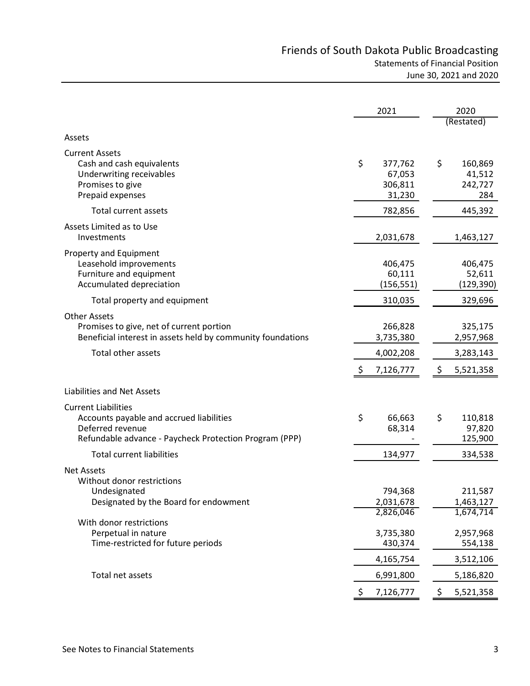|                                                                                                                                                      | 2021                                         | 2020                                       |
|------------------------------------------------------------------------------------------------------------------------------------------------------|----------------------------------------------|--------------------------------------------|
|                                                                                                                                                      |                                              | (Restated)                                 |
| Assets                                                                                                                                               |                                              |                                            |
| <b>Current Assets</b><br>Cash and cash equivalents<br>Underwriting receivables<br>Promises to give<br>Prepaid expenses                               | \$<br>377,762<br>67,053<br>306,811<br>31,230 | \$<br>160,869<br>41,512<br>242,727<br>284  |
| <b>Total current assets</b>                                                                                                                          | 782,856                                      | 445,392                                    |
| Assets Limited as to Use<br>Investments                                                                                                              | 2,031,678                                    | 1,463,127                                  |
| Property and Equipment<br>Leasehold improvements<br>Furniture and equipment<br>Accumulated depreciation<br>Total property and equipment              | 406,475<br>60,111<br>(156, 551)<br>310,035   | 406,475<br>52,611<br>(129, 390)<br>329,696 |
| <b>Other Assets</b><br>Promises to give, net of current portion<br>Beneficial interest in assets held by community foundations                       | 266,828<br>3,735,380                         | 325,175<br>2,957,968                       |
| Total other assets                                                                                                                                   | 4,002,208                                    | 3,283,143                                  |
|                                                                                                                                                      | 7,126,777                                    | 5,521,358<br>\$                            |
| Liabilities and Net Assets                                                                                                                           |                                              |                                            |
| <b>Current Liabilities</b><br>Accounts payable and accrued liabilities<br>Deferred revenue<br>Refundable advance - Paycheck Protection Program (PPP) | \$<br>66,663<br>68,314                       | \$<br>110,818<br>97,820<br>125,900         |
| <b>Total current liabilities</b>                                                                                                                     | 134,977                                      | 334,538                                    |
| <b>Net Assets</b><br>Without donor restrictions<br>Undesignated<br>Designated by the Board for endowment                                             | 794,368<br>2,031,678                         | 211,587<br>1,463,127                       |
| With donor restrictions<br>Perpetual in nature<br>Time-restricted for future periods                                                                 | 2,826,046<br>3,735,380<br>430,374            | 1,674,714<br>2,957,968<br>554,138          |
|                                                                                                                                                      | 4,165,754                                    | 3,512,106                                  |
| Total net assets                                                                                                                                     | 6,991,800                                    | 5,186,820                                  |
|                                                                                                                                                      | \$<br>7,126,777                              | \$<br>5,521,358                            |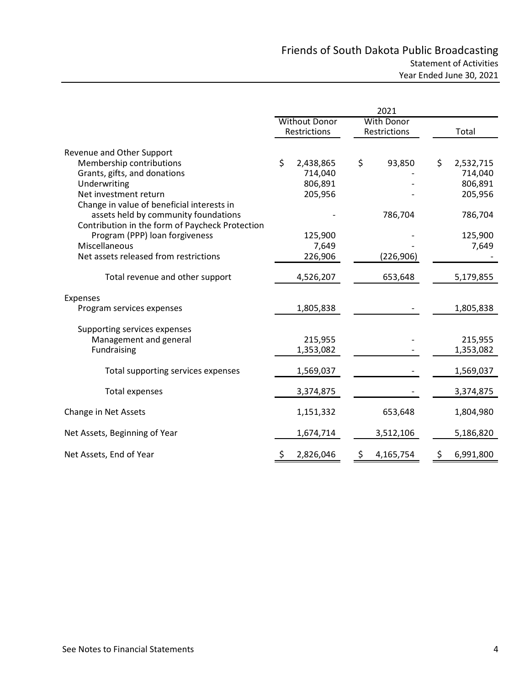# Friends of South Dakota Public Broadcasting Statement of Activities Year Ended June 30, 2021

|                                                 | 2021 |                      |    |                   |    |                    |
|-------------------------------------------------|------|----------------------|----|-------------------|----|--------------------|
|                                                 |      | <b>Without Donor</b> |    | <b>With Donor</b> |    |                    |
|                                                 |      | Restrictions         |    | Restrictions      |    | Total              |
| Revenue and Other Support                       |      |                      |    |                   |    |                    |
| Membership contributions                        | \$   | 2,438,865            | \$ | 93,850            | \$ | 2,532,715          |
| Grants, gifts, and donations                    |      | 714,040              |    |                   |    | 714,040            |
| Underwriting<br>Net investment return           |      | 806,891<br>205,956   |    |                   |    | 806,891<br>205,956 |
| Change in value of beneficial interests in      |      |                      |    |                   |    |                    |
| assets held by community foundations            |      |                      |    | 786,704           |    | 786,704            |
| Contribution in the form of Paycheck Protection |      |                      |    |                   |    |                    |
| Program (PPP) loan forgiveness                  |      | 125,900              |    |                   |    | 125,900            |
| Miscellaneous                                   |      | 7,649                |    |                   |    | 7,649              |
| Net assets released from restrictions           |      | 226,906              |    | (226, 906)        |    |                    |
| Total revenue and other support                 |      | 4,526,207            |    | 653,648           |    | 5,179,855          |
| Expenses                                        |      |                      |    |                   |    |                    |
| Program services expenses                       |      | 1,805,838            |    |                   |    | 1,805,838          |
| Supporting services expenses                    |      |                      |    |                   |    |                    |
| Management and general                          |      | 215,955              |    |                   |    | 215,955            |
| Fundraising                                     |      | 1,353,082            |    |                   |    | 1,353,082          |
| Total supporting services expenses              |      | 1,569,037            |    |                   |    | 1,569,037          |
| Total expenses                                  |      | 3,374,875            |    |                   |    | 3,374,875          |
| Change in Net Assets                            |      | 1,151,332            |    | 653,648           |    | 1,804,980          |
| Net Assets, Beginning of Year                   |      | 1,674,714            |    | 3,512,106         |    | 5,186,820          |
| Net Assets, End of Year                         |      | 2,826,046            | \$ | 4,165,754         | Ş  | 6,991,800          |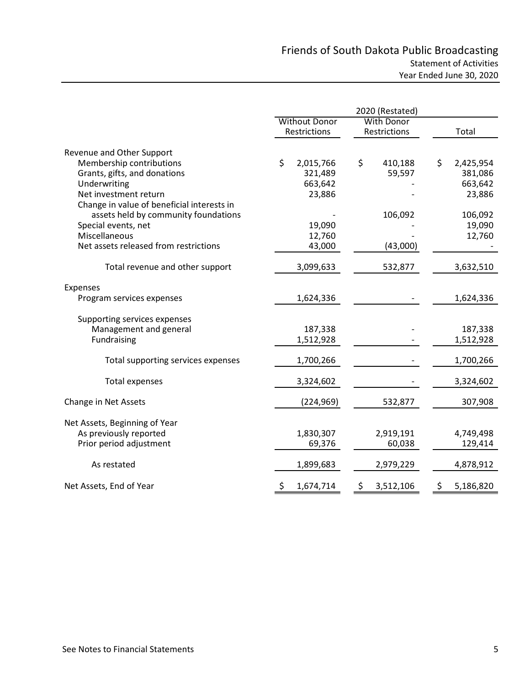|                                            | 2020 (Restated)      |                   |                 |  |  |
|--------------------------------------------|----------------------|-------------------|-----------------|--|--|
|                                            | <b>Without Donor</b> | <b>With Donor</b> |                 |  |  |
|                                            | Restrictions         | Restrictions      | Total           |  |  |
|                                            |                      |                   |                 |  |  |
| Revenue and Other Support                  |                      |                   |                 |  |  |
| Membership contributions                   | \$<br>2,015,766      | \$<br>410,188     | \$<br>2,425,954 |  |  |
| Grants, gifts, and donations               | 321,489              | 59,597            | 381,086         |  |  |
| Underwriting                               | 663,642              |                   | 663,642         |  |  |
| Net investment return                      | 23,886               |                   | 23,886          |  |  |
| Change in value of beneficial interests in |                      |                   |                 |  |  |
| assets held by community foundations       |                      | 106,092           | 106,092         |  |  |
| Special events, net                        | 19,090               |                   | 19,090          |  |  |
| Miscellaneous                              | 12,760               |                   | 12,760          |  |  |
| Net assets released from restrictions      | 43,000               | (43,000)          |                 |  |  |
| Total revenue and other support            | 3,099,633            | 532,877           | 3,632,510       |  |  |
| Expenses                                   |                      |                   |                 |  |  |
| Program services expenses                  | 1,624,336            |                   | 1,624,336       |  |  |
| Supporting services expenses               |                      |                   |                 |  |  |
| Management and general                     | 187,338              |                   | 187,338         |  |  |
| Fundraising                                | 1,512,928            |                   | 1,512,928       |  |  |
| Total supporting services expenses         | 1,700,266            |                   | 1,700,266       |  |  |
| Total expenses                             | 3,324,602            |                   | 3,324,602       |  |  |
| Change in Net Assets                       | (224, 969)           | 532,877           | 307,908         |  |  |
| Net Assets, Beginning of Year              |                      |                   |                 |  |  |
| As previously reported                     | 1,830,307            | 2,919,191         | 4,749,498       |  |  |
| Prior period adjustment                    | 69,376               | 60,038            | 129,414         |  |  |
| As restated                                | 1,899,683            | 2,979,229         | 4,878,912       |  |  |
| Net Assets, End of Year                    | 1,674,714<br>\$      | 3,512,106<br>\$   | 5,186,820<br>\$ |  |  |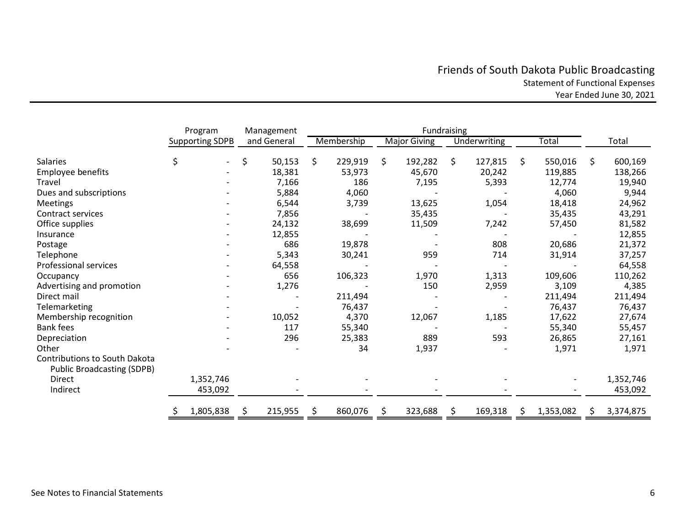# Friends of South Dakota Public Broadcasting Statement of Functional Expenses Year Ended June 30, 2021

|                                   | Program                |                          | Fundraising<br>Management |    |            |    |                     |    |                     |    |           |    |           |  |
|-----------------------------------|------------------------|--------------------------|---------------------------|----|------------|----|---------------------|----|---------------------|----|-----------|----|-----------|--|
|                                   | <b>Supporting SDPB</b> |                          | and General               |    | Membership |    | <b>Major Giving</b> |    | <b>Underwriting</b> |    | Total     |    | Total     |  |
|                                   |                        |                          |                           |    |            |    |                     |    |                     |    |           |    |           |  |
| Salaries                          | \$                     | $\overline{\phantom{0}}$ | \$<br>50,153              | \$ | 229,919    | \$ | 192,282             | Ŝ. | 127,815             | \$ | 550,016   | \$ | 600,169   |  |
| Employee benefits                 |                        |                          | 18,381                    |    | 53,973     |    | 45,670              |    | 20,242              |    | 119,885   |    | 138,266   |  |
| Travel                            |                        |                          | 7,166                     |    | 186        |    | 7,195               |    | 5,393               |    | 12,774    |    | 19,940    |  |
| Dues and subscriptions            |                        |                          | 5,884                     |    | 4,060      |    |                     |    |                     |    | 4,060     |    | 9,944     |  |
| Meetings                          |                        |                          | 6,544                     |    | 3,739      |    | 13,625              |    | 1,054               |    | 18,418    |    | 24,962    |  |
| Contract services                 |                        |                          | 7,856                     |    |            |    | 35,435              |    |                     |    | 35,435    |    | 43,291    |  |
| Office supplies                   |                        |                          | 24,132                    |    | 38,699     |    | 11,509              |    | 7,242               |    | 57,450    |    | 81,582    |  |
| Insurance                         |                        |                          | 12,855                    |    |            |    |                     |    |                     |    |           |    | 12,855    |  |
| Postage                           |                        |                          | 686                       |    | 19,878     |    |                     |    | 808                 |    | 20,686    |    | 21,372    |  |
| Telephone                         |                        |                          | 5,343                     |    | 30,241     |    | 959                 |    | 714                 |    | 31,914    |    | 37,257    |  |
| Professional services             |                        |                          | 64,558                    |    |            |    |                     |    |                     |    |           |    | 64,558    |  |
| Occupancy                         |                        |                          | 656                       |    | 106,323    |    | 1,970               |    | 1,313               |    | 109,606   |    | 110,262   |  |
| Advertising and promotion         |                        |                          | 1,276                     |    |            |    | 150                 |    | 2,959               |    | 3,109     |    | 4,385     |  |
| Direct mail                       |                        |                          |                           |    | 211,494    |    |                     |    |                     |    | 211,494   |    | 211,494   |  |
| Telemarketing                     |                        |                          |                           |    | 76,437     |    |                     |    |                     |    | 76,437    |    | 76,437    |  |
| Membership recognition            |                        |                          | 10,052                    |    | 4,370      |    | 12,067              |    | 1,185               |    | 17,622    |    | 27,674    |  |
| <b>Bank fees</b>                  |                        |                          | 117                       |    | 55,340     |    |                     |    |                     |    | 55,340    |    | 55,457    |  |
| Depreciation                      |                        |                          | 296                       |    | 25,383     |    | 889                 |    | 593                 |    | 26,865    |    | 27,161    |  |
| Other                             |                        |                          |                           |    | 34         |    | 1,937               |    |                     |    | 1,971     |    | 1,971     |  |
| Contributions to South Dakota     |                        |                          |                           |    |            |    |                     |    |                     |    |           |    |           |  |
| <b>Public Broadcasting (SDPB)</b> |                        |                          |                           |    |            |    |                     |    |                     |    |           |    |           |  |
| Direct                            | 1,352,746              |                          |                           |    |            |    |                     |    |                     |    |           |    | 1,352,746 |  |
| Indirect                          | 453,092                |                          |                           |    |            |    |                     |    |                     |    |           |    | 453,092   |  |
|                                   | 1,805,838              |                          | 215,955                   |    | 860,076    |    | 323,688             |    | 169,318             | Ş  | 1,353,082 |    | 3,374,875 |  |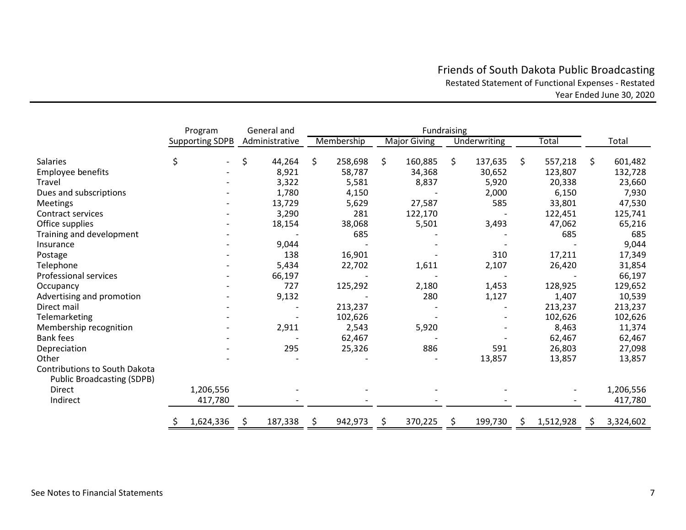# Friends of South Dakota Public Broadcasting Restated Statement of Functional Expenses - Restated Year Ended June 30, 2020

|                                                                           | Program                |                          | General and    |         | Fundraising |            |    |                     |    |                     |    |           |               |  |  |  |  |
|---------------------------------------------------------------------------|------------------------|--------------------------|----------------|---------|-------------|------------|----|---------------------|----|---------------------|----|-----------|---------------|--|--|--|--|
|                                                                           | <b>Supporting SDPB</b> |                          | Administrative |         |             | Membership |    | <b>Major Giving</b> |    | <b>Underwriting</b> |    | Total     | Total         |  |  |  |  |
| <b>Salaries</b>                                                           | \$                     | $\overline{\phantom{a}}$ | \$             | 44,264  | \$          | 258,698    | \$ | 160,885             | \$ | 137,635             | \$ | 557,218   | \$<br>601,482 |  |  |  |  |
| Employee benefits                                                         |                        |                          |                | 8,921   |             | 58,787     |    | 34,368              |    | 30,652              |    | 123,807   | 132,728       |  |  |  |  |
| Travel                                                                    |                        |                          |                | 3,322   |             | 5,581      |    | 8,837               |    | 5,920               |    | 20,338    | 23,660        |  |  |  |  |
| Dues and subscriptions                                                    |                        |                          |                | 1,780   |             | 4,150      |    |                     |    | 2,000               |    | 6,150     | 7,930         |  |  |  |  |
| Meetings                                                                  |                        |                          |                | 13,729  |             | 5,629      |    | 27,587              |    | 585                 |    | 33,801    | 47,530        |  |  |  |  |
| Contract services                                                         |                        |                          |                | 3,290   |             | 281        |    | 122,170             |    |                     |    | 122,451   | 125,741       |  |  |  |  |
| Office supplies                                                           |                        |                          |                | 18,154  |             | 38,068     |    | 5,501               |    | 3,493               |    | 47,062    | 65,216        |  |  |  |  |
| Training and development                                                  |                        |                          |                |         |             | 685        |    |                     |    |                     |    | 685       | 685           |  |  |  |  |
| Insurance                                                                 |                        |                          |                | 9,044   |             |            |    |                     |    |                     |    |           | 9,044         |  |  |  |  |
| Postage                                                                   |                        |                          |                | 138     |             | 16,901     |    |                     |    | 310                 |    | 17,211    | 17,349        |  |  |  |  |
| Telephone                                                                 |                        |                          |                | 5,434   |             | 22,702     |    | 1,611               |    | 2,107               |    | 26,420    | 31,854        |  |  |  |  |
| <b>Professional services</b>                                              |                        |                          |                | 66,197  |             |            |    |                     |    |                     |    |           | 66,197        |  |  |  |  |
| Occupancy                                                                 |                        |                          |                | 727     |             | 125,292    |    | 2,180               |    | 1,453               |    | 128,925   | 129,652       |  |  |  |  |
| Advertising and promotion                                                 |                        |                          |                | 9,132   |             |            |    | 280                 |    | 1,127               |    | 1,407     | 10,539        |  |  |  |  |
| Direct mail                                                               |                        |                          |                |         |             | 213,237    |    |                     |    |                     |    | 213,237   | 213,237       |  |  |  |  |
| Telemarketing                                                             |                        |                          |                |         |             | 102,626    |    |                     |    |                     |    | 102,626   | 102,626       |  |  |  |  |
| Membership recognition                                                    |                        |                          |                | 2,911   |             | 2,543      |    | 5,920               |    |                     |    | 8,463     | 11,374        |  |  |  |  |
| <b>Bank fees</b>                                                          |                        |                          |                |         |             | 62,467     |    |                     |    |                     |    | 62,467    | 62,467        |  |  |  |  |
| Depreciation                                                              |                        |                          |                | 295     |             | 25,326     |    | 886                 |    | 591                 |    | 26,803    | 27,098        |  |  |  |  |
| Other                                                                     |                        |                          |                |         |             |            |    |                     |    | 13,857              |    | 13,857    | 13,857        |  |  |  |  |
| <b>Contributions to South Dakota</b><br><b>Public Broadcasting (SDPB)</b> |                        |                          |                |         |             |            |    |                     |    |                     |    |           |               |  |  |  |  |
| Direct                                                                    | 1,206,556              |                          |                |         |             |            |    |                     |    |                     |    |           | 1,206,556     |  |  |  |  |
| Indirect                                                                  | 417,780                |                          |                |         |             |            |    |                     |    |                     |    |           | 417,780       |  |  |  |  |
|                                                                           | 1,624,336              |                          | \$             | 187,338 |             | 942,973    | \$ | 370,225             |    | 199,730             | \$ | 1,512,928 | 3,324,602     |  |  |  |  |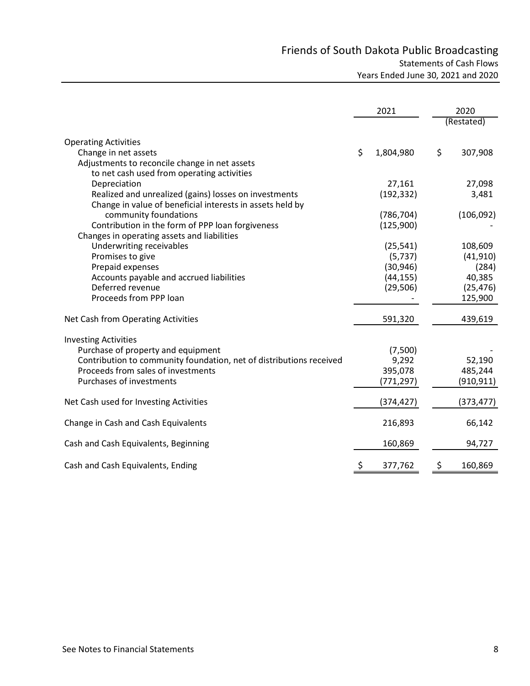# Friends of South Dakota Public Broadcasting Statements of Cash Flows

Years Ended June 30, 2021 and 2020

|                                                                                                                                                                                                            |     | 2021                                           | 2020<br>(Restated)                      |
|------------------------------------------------------------------------------------------------------------------------------------------------------------------------------------------------------------|-----|------------------------------------------------|-----------------------------------------|
| <b>Operating Activities</b><br>Change in net assets<br>Adjustments to reconcile change in net assets                                                                                                       | \$  | 1,804,980                                      | \$<br>307,908                           |
| to net cash used from operating activities<br>Depreciation<br>Realized and unrealized (gains) losses on investments<br>Change in value of beneficial interests in assets held by                           |     | 27,161<br>(192, 332)                           | 27,098<br>3,481                         |
| community foundations<br>Contribution in the form of PPP loan forgiveness<br>Changes in operating assets and liabilities                                                                                   |     | (786, 704)<br>(125,900)                        | (106, 092)                              |
| Underwriting receivables<br>Promises to give<br>Prepaid expenses<br>Accounts payable and accrued liabilities                                                                                               |     | (25, 541)<br>(5,737)<br>(30, 946)<br>(44, 155) | 108,609<br>(41, 910)<br>(284)<br>40,385 |
| Deferred revenue<br>Proceeds from PPP loan                                                                                                                                                                 |     | (29, 506)                                      | (25, 476)<br>125,900                    |
| Net Cash from Operating Activities                                                                                                                                                                         |     | 591,320                                        | 439,619                                 |
| <b>Investing Activities</b><br>Purchase of property and equipment<br>Contribution to community foundation, net of distributions received<br>Proceeds from sales of investments<br>Purchases of investments |     | (7,500)<br>9,292<br>395,078<br>(771,297)       | 52,190<br>485,244<br>(910, 911)         |
| Net Cash used for Investing Activities                                                                                                                                                                     |     | (374,427)                                      | (373, 477)                              |
| Change in Cash and Cash Equivalents                                                                                                                                                                        |     | 216,893                                        | 66,142                                  |
| Cash and Cash Equivalents, Beginning                                                                                                                                                                       |     | 160,869                                        | 94,727                                  |
| Cash and Cash Equivalents, Ending                                                                                                                                                                          | \$, | 377,762                                        | \$<br>160,869                           |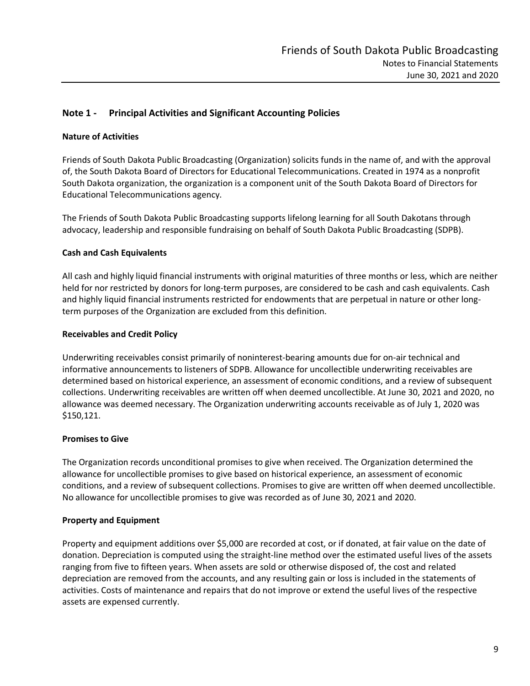## **Note 1 - Principal Activities and Significant Accounting Policies**

#### **Nature of Activities**

Friends of South Dakota Public Broadcasting (Organization) solicits funds in the name of, and with the approval of, the South Dakota Board of Directors for Educational Telecommunications. Created in 1974 as a nonprofit South Dakota organization, the organization is a component unit of the South Dakota Board of Directors for Educational Telecommunications agency.

The Friends of South Dakota Public Broadcasting supports lifelong learning for all South Dakotans through advocacy, leadership and responsible fundraising on behalf of South Dakota Public Broadcasting (SDPB).

#### **Cash and Cash Equivalents**

All cash and highly liquid financial instruments with original maturities of three months or less, which are neither held for nor restricted by donors for long-term purposes, are considered to be cash and cash equivalents. Cash and highly liquid financial instruments restricted for endowments that are perpetual in nature or other longterm purposes of the Organization are excluded from this definition.

#### **Receivables and Credit Policy**

Underwriting receivables consist primarily of noninterest-bearing amounts due for on-air technical and informative announcements to listeners of SDPB. Allowance for uncollectible underwriting receivables are determined based on historical experience, an assessment of economic conditions, and a review of subsequent collections. Underwriting receivables are written off when deemed uncollectible. At June 30, 2021 and 2020, no allowance was deemed necessary. The Organization underwriting accounts receivable as of July 1, 2020 was \$150,121.

#### **Promises to Give**

The Organization records unconditional promises to give when received. The Organization determined the allowance for uncollectible promises to give based on historical experience, an assessment of economic conditions, and a review of subsequent collections. Promises to give are written off when deemed uncollectible. No allowance for uncollectible promises to give was recorded as of June 30, 2021 and 2020.

#### **Property and Equipment**

Property and equipment additions over \$5,000 are recorded at cost, or if donated, at fair value on the date of donation. Depreciation is computed using the straight-line method over the estimated useful lives of the assets ranging from five to fifteen years. When assets are sold or otherwise disposed of, the cost and related depreciation are removed from the accounts, and any resulting gain or loss is included in the statements of activities. Costs of maintenance and repairs that do not improve or extend the useful lives of the respective assets are expensed currently.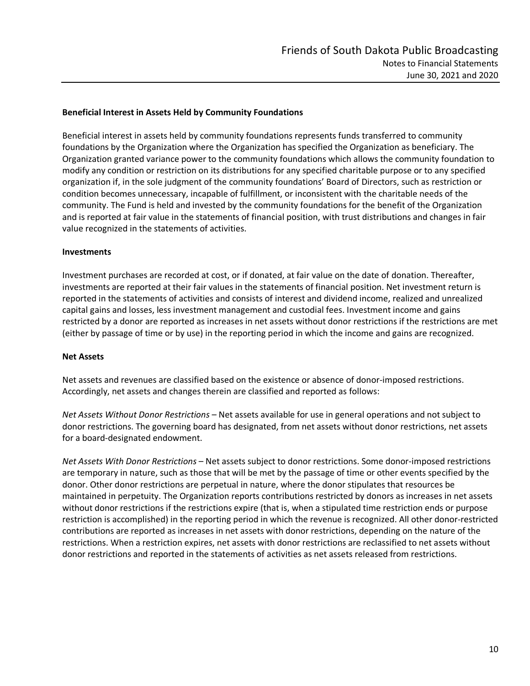## **Beneficial Interest in Assets Held by Community Foundations**

Beneficial interest in assets held by community foundations represents funds transferred to community foundations by the Organization where the Organization has specified the Organization as beneficiary. The Organization granted variance power to the community foundations which allows the community foundation to modify any condition or restriction on its distributions for any specified charitable purpose or to any specified organization if, in the sole judgment of the community foundations' Board of Directors, such as restriction or condition becomes unnecessary, incapable of fulfillment, or inconsistent with the charitable needs of the community. The Fund is held and invested by the community foundations for the benefit of the Organization and is reported at fair value in the statements of financial position, with trust distributions and changes in fair value recognized in the statements of activities.

## **Investments**

Investment purchases are recorded at cost, or if donated, at fair value on the date of donation. Thereafter, investments are reported at their fair values in the statements of financial position. Net investment return is reported in the statements of activities and consists of interest and dividend income, realized and unrealized capital gains and losses, less investment management and custodial fees. Investment income and gains restricted by a donor are reported as increases in net assets without donor restrictions if the restrictions are met (either by passage of time or by use) in the reporting period in which the income and gains are recognized.

## **Net Assets**

Net assets and revenues are classified based on the existence or absence of donor-imposed restrictions. Accordingly, net assets and changes therein are classified and reported as follows:

*Net Assets Without Donor Restrictions* – Net assets available for use in general operations and not subject to donor restrictions. The governing board has designated, from net assets without donor restrictions, net assets for a board-designated endowment.

*Net Assets With Donor Restrictions* – Net assets subject to donor restrictions. Some donor-imposed restrictions are temporary in nature, such as those that will be met by the passage of time or other events specified by the donor. Other donor restrictions are perpetual in nature, where the donor stipulates that resources be maintained in perpetuity. The Organization reports contributions restricted by donors as increases in net assets without donor restrictions if the restrictions expire (that is, when a stipulated time restriction ends or purpose restriction is accomplished) in the reporting period in which the revenue is recognized. All other donor-restricted contributions are reported as increases in net assets with donor restrictions, depending on the nature of the restrictions. When a restriction expires, net assets with donor restrictions are reclassified to net assets without donor restrictions and reported in the statements of activities as net assets released from restrictions.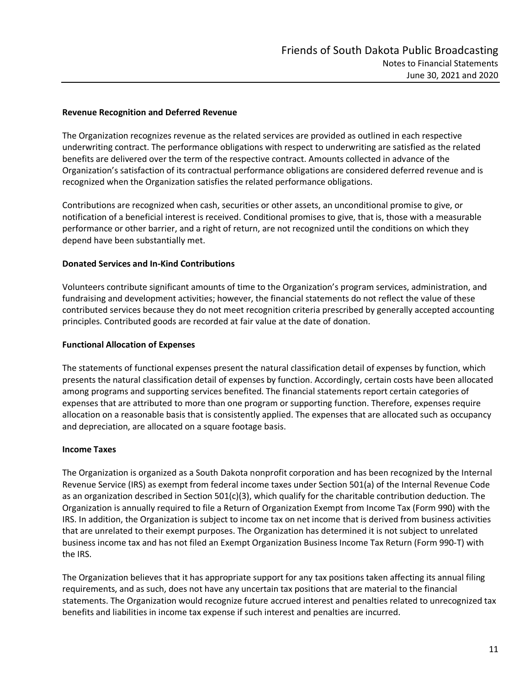#### **Revenue Recognition and Deferred Revenue**

The Organization recognizes revenue as the related services are provided as outlined in each respective underwriting contract. The performance obligations with respect to underwriting are satisfied as the related benefits are delivered over the term of the respective contract. Amounts collected in advance of the Organization's satisfaction of its contractual performance obligations are considered deferred revenue and is recognized when the Organization satisfies the related performance obligations.

Contributions are recognized when cash, securities or other assets, an unconditional promise to give, or notification of a beneficial interest is received. Conditional promises to give, that is, those with a measurable performance or other barrier, and a right of return, are not recognized until the conditions on which they depend have been substantially met.

#### **Donated Services and In-Kind Contributions**

Volunteers contribute significant amounts of time to the Organization's program services, administration, and fundraising and development activities; however, the financial statements do not reflect the value of these contributed services because they do not meet recognition criteria prescribed by generally accepted accounting principles. Contributed goods are recorded at fair value at the date of donation.

#### **Functional Allocation of Expenses**

The statements of functional expenses present the natural classification detail of expenses by function, which presents the natural classification detail of expenses by function. Accordingly, certain costs have been allocated among programs and supporting services benefited. The financial statements report certain categories of expenses that are attributed to more than one program or supporting function. Therefore, expenses require allocation on a reasonable basis that is consistently applied. The expenses that are allocated such as occupancy and depreciation, are allocated on a square footage basis.

#### **Income Taxes**

The Organization is organized as a South Dakota nonprofit corporation and has been recognized by the Internal Revenue Service (IRS) as exempt from federal income taxes under Section 501(a) of the Internal Revenue Code as an organization described in Section 501(c)(3), which qualify for the charitable contribution deduction. The Organization is annually required to file a Return of Organization Exempt from Income Tax (Form 990) with the IRS. In addition, the Organization is subject to income tax on net income that is derived from business activities that are unrelated to their exempt purposes. The Organization has determined it is not subject to unrelated business income tax and has not filed an Exempt Organization Business Income Tax Return (Form 990-T) with the IRS.

The Organization believes that it has appropriate support for any tax positions taken affecting its annual filing requirements, and as such, does not have any uncertain tax positions that are material to the financial statements. The Organization would recognize future accrued interest and penalties related to unrecognized tax benefits and liabilities in income tax expense if such interest and penalties are incurred.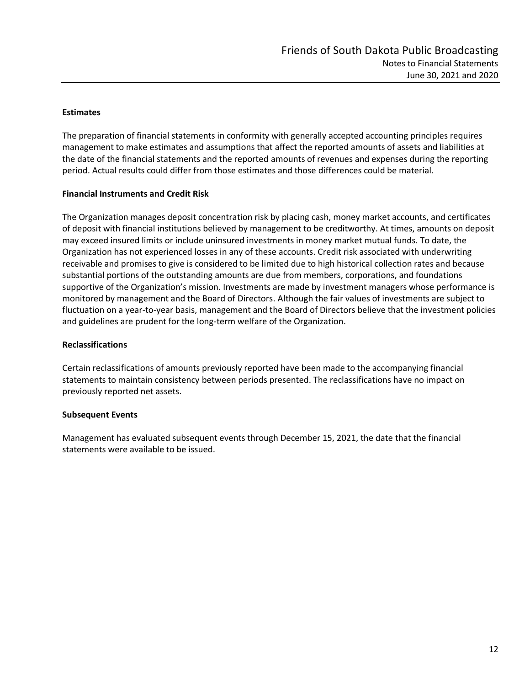## **Estimates**

The preparation of financial statements in conformity with generally accepted accounting principles requires management to make estimates and assumptions that affect the reported amounts of assets and liabilities at the date of the financial statements and the reported amounts of revenues and expenses during the reporting period. Actual results could differ from those estimates and those differences could be material.

## **Financial Instruments and Credit Risk**

The Organization manages deposit concentration risk by placing cash, money market accounts, and certificates of deposit with financial institutions believed by management to be creditworthy. At times, amounts on deposit may exceed insured limits or include uninsured investments in money market mutual funds. To date, the Organization has not experienced losses in any of these accounts. Credit risk associated with underwriting receivable and promises to give is considered to be limited due to high historical collection rates and because substantial portions of the outstanding amounts are due from members, corporations, and foundations supportive of the Organization's mission. Investments are made by investment managers whose performance is monitored by management and the Board of Directors. Although the fair values of investments are subject to fluctuation on a year-to-year basis, management and the Board of Directors believe that the investment policies and guidelines are prudent for the long-term welfare of the Organization.

#### **Reclassifications**

Certain reclassifications of amounts previously reported have been made to the accompanying financial statements to maintain consistency between periods presented. The reclassifications have no impact on previously reported net assets.

#### **Subsequent Events**

Management has evaluated subsequent events through December 15, 2021, the date that the financial statements were available to be issued.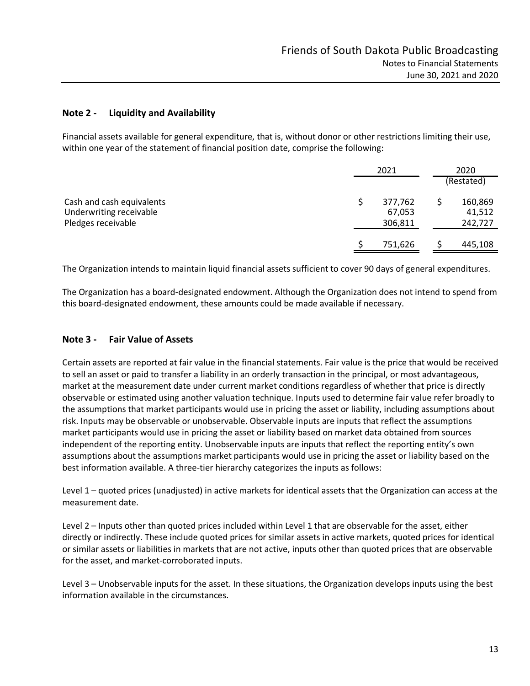## **Note 2 - Liquidity and Availability**

Financial assets available for general expenditure, that is, without donor or other restrictions limiting their use, within one year of the statement of financial position date, comprise the following:

|                                                                            | 2021 |                              |  | 2020                         |
|----------------------------------------------------------------------------|------|------------------------------|--|------------------------------|
|                                                                            |      |                              |  | (Restated)                   |
| Cash and cash equivalents<br>Underwriting receivable<br>Pledges receivable |      | 377,762<br>67,053<br>306,811 |  | 160,869<br>41,512<br>242,727 |
|                                                                            |      | 751,626                      |  | 445,108                      |

The Organization intends to maintain liquid financial assets sufficient to cover 90 days of general expenditures.

The Organization has a board-designated endowment. Although the Organization does not intend to spend from this board-designated endowment, these amounts could be made available if necessary.

#### **Note 3 - Fair Value of Assets**

Certain assets are reported at fair value in the financial statements. Fair value is the price that would be received to sell an asset or paid to transfer a liability in an orderly transaction in the principal, or most advantageous, market at the measurement date under current market conditions regardless of whether that price is directly observable or estimated using another valuation technique. Inputs used to determine fair value refer broadly to the assumptions that market participants would use in pricing the asset or liability, including assumptions about risk. Inputs may be observable or unobservable. Observable inputs are inputs that reflect the assumptions market participants would use in pricing the asset or liability based on market data obtained from sources independent of the reporting entity. Unobservable inputs are inputs that reflect the reporting entity's own assumptions about the assumptions market participants would use in pricing the asset or liability based on the best information available. A three-tier hierarchy categorizes the inputs as follows:

Level 1 – quoted prices (unadjusted) in active markets for identical assets that the Organization can access at the measurement date.

Level 2 – Inputs other than quoted prices included within Level 1 that are observable for the asset, either directly or indirectly. These include quoted prices for similar assets in active markets, quoted prices for identical or similar assets or liabilities in markets that are not active, inputs other than quoted prices that are observable for the asset, and market-corroborated inputs.

Level 3 – Unobservable inputs for the asset. In these situations, the Organization develops inputs using the best information available in the circumstances.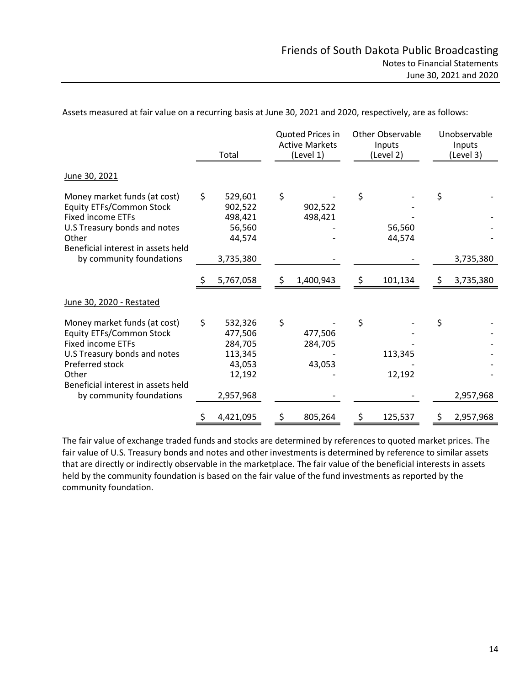|                                                                |    | Total             | Quoted Prices in<br><b>Active Markets</b><br>(Level 1) |           |    | Other Observable<br>Inputs<br>(Level 2) |     | Unobservable<br>Inputs<br>(Level 3) |
|----------------------------------------------------------------|----|-------------------|--------------------------------------------------------|-----------|----|-----------------------------------------|-----|-------------------------------------|
| June 30, 2021                                                  |    |                   |                                                        |           |    |                                         |     |                                     |
| Money market funds (at cost)                                   | \$ | 529,601           | \$                                                     |           | \$ |                                         | \$  |                                     |
| <b>Equity ETFs/Common Stock</b>                                |    | 902,522           |                                                        | 902,522   |    |                                         |     |                                     |
| <b>Fixed income ETFs</b><br>U.S Treasury bonds and notes       |    | 498,421<br>56,560 |                                                        | 498,421   |    |                                         |     |                                     |
| Other                                                          |    | 44,574            |                                                        |           |    | 56,560<br>44,574                        |     |                                     |
| Beneficial interest in assets held                             |    |                   |                                                        |           |    |                                         |     |                                     |
| by community foundations                                       |    | 3,735,380         |                                                        |           |    |                                         |     | 3,735,380                           |
|                                                                | S  | 5,767,058         | S                                                      | 1,400,943 | Ş  | 101,134                                 | \$. | 3,735,380                           |
| June 30, 2020 - Restated                                       |    |                   |                                                        |           |    |                                         |     |                                     |
| Money market funds (at cost)                                   | \$ | 532,326           | \$                                                     |           | \$ |                                         | \$  |                                     |
| <b>Equity ETFs/Common Stock</b>                                |    | 477,506           |                                                        | 477,506   |    |                                         |     |                                     |
| <b>Fixed income ETFs</b>                                       |    | 284,705           |                                                        | 284,705   |    |                                         |     |                                     |
| U.S Treasury bonds and notes                                   |    | 113,345           |                                                        |           |    | 113,345                                 |     |                                     |
| Preferred stock                                                |    | 43,053            |                                                        | 43,053    |    |                                         |     |                                     |
| Other                                                          |    | 12,192            |                                                        |           |    | 12,192                                  |     |                                     |
| Beneficial interest in assets held<br>by community foundations |    | 2,957,968         |                                                        |           |    |                                         |     | 2,957,968                           |
|                                                                |    | 4,421,095         | \$                                                     | 805,264   | \$ | 125,537                                 | \$  | 2,957,968                           |

Assets measured at fair value on a recurring basis at June 30, 2021 and 2020, respectively, are as follows:

The fair value of exchange traded funds and stocks are determined by references to quoted market prices. The fair value of U.S. Treasury bonds and notes and other investments is determined by reference to similar assets that are directly or indirectly observable in the marketplace. The fair value of the beneficial interests in assets held by the community foundation is based on the fair value of the fund investments as reported by the community foundation.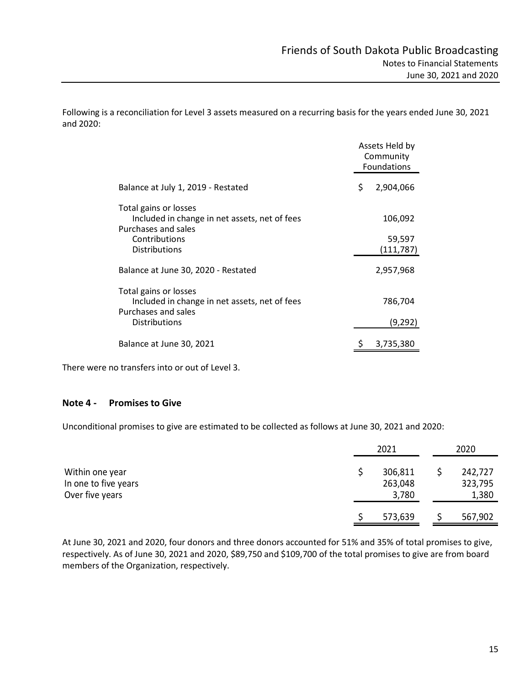Following is a reconciliation for Level 3 assets measured on a recurring basis for the years ended June 30, 2021 and 2020:

|                                                                                               | Assets Held by<br>Community<br>Foundations |
|-----------------------------------------------------------------------------------------------|--------------------------------------------|
| Balance at July 1, 2019 - Restated                                                            | \$<br>2,904,066                            |
| Total gains or losses<br>Included in change in net assets, net of fees<br>Purchases and sales | 106,092                                    |
| Contributions<br><b>Distributions</b>                                                         | 59,597<br>(111, 787)                       |
| Balance at June 30, 2020 - Restated                                                           | 2,957,968                                  |
| Total gains or losses<br>Included in change in net assets, net of fees<br>Purchases and sales | 786,704                                    |
| Distributions                                                                                 | (9,292)                                    |
| Balance at June 30, 2021                                                                      | 3,735,380                                  |

There were no transfers into or out of Level 3.

## **Note 4 - Promises to Give**

Unconditional promises to give are estimated to be collected as follows at June 30, 2021 and 2020:

|                                                            | 2021                        |  |                             |
|------------------------------------------------------------|-----------------------------|--|-----------------------------|
| Within one year<br>In one to five years<br>Over five years | 306,811<br>263,048<br>3,780 |  | 242,727<br>323,795<br>1,380 |
|                                                            | 573,639                     |  | 567,902                     |

At June 30, 2021 and 2020, four donors and three donors accounted for 51% and 35% of total promises to give, respectively. As of June 30, 2021 and 2020, \$89,750 and \$109,700 of the total promises to give are from board members of the Organization, respectively.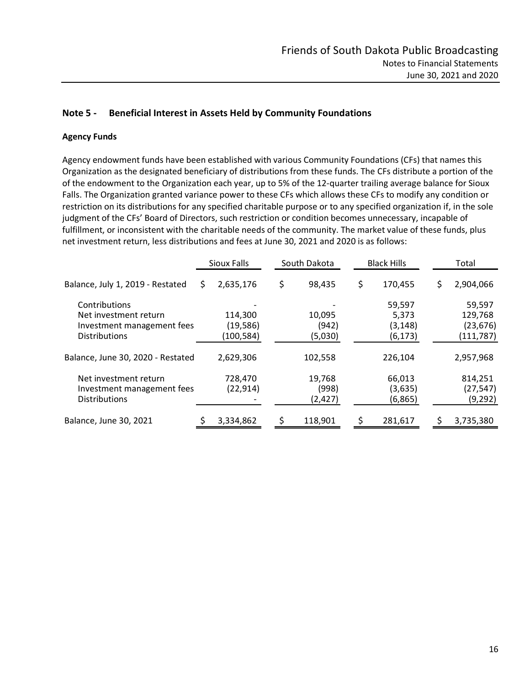# **Note 5 - Beneficial Interest in Assets Held by Community Foundations**

## **Agency Funds**

Agency endowment funds have been established with various Community Foundations (CFs) that names this Organization as the designated beneficiary of distributions from these funds. The CFs distribute a portion of the of the endowment to the Organization each year, up to 5% of the 12-quarter trailing average balance for Sioux Falls. The Organization granted variance power to these CFs which allows these CFs to modify any condition or restriction on its distributions for any specified charitable purpose or to any specified organization if, in the sole judgment of the CFs' Board of Directors, such restriction or condition becomes unnecessary, incapable of fulfillment, or inconsistent with the charitable needs of the community. The market value of these funds, plus net investment return, less distributions and fees at June 30, 2021 and 2020 is as follows:

|                                                                                              |     | Sioux Falls                       |    | South Dakota                |    |                                         |                                              | <b>Black Hills</b> | Total |
|----------------------------------------------------------------------------------------------|-----|-----------------------------------|----|-----------------------------|----|-----------------------------------------|----------------------------------------------|--------------------|-------|
| Balance, July 1, 2019 - Restated                                                             | \$. | 2,635,176                         | \$ | 98,435                      | \$ | 170,455                                 | \$<br>2,904,066                              |                    |       |
| Contributions<br>Net investment return<br>Investment management fees<br><b>Distributions</b> |     | 114,300<br>(19, 586)<br>(100,584) |    | 10,095<br>(942)<br>(5,030)  |    | 59,597<br>5,373<br>(3, 148)<br>(6, 173) | 59,597<br>129,768<br>(23, 676)<br>(111, 787) |                    |       |
| Balance, June 30, 2020 - Restated                                                            |     | 2,629,306                         |    | 102,558                     |    | 226,104                                 | 2,957,968                                    |                    |       |
| Net investment return<br>Investment management fees<br><b>Distributions</b>                  |     | 728,470<br>(22, 914)              |    | 19,768<br>(998)<br>(2, 427) |    | 66,013<br>(3,635)<br>(6, 865)           | 814,251<br>(27, 547)<br>(9, 292)             |                    |       |
| Balance, June 30, 2021                                                                       |     | 3,334,862                         |    | 118,901                     |    | 281,617                                 | 3,735,380                                    |                    |       |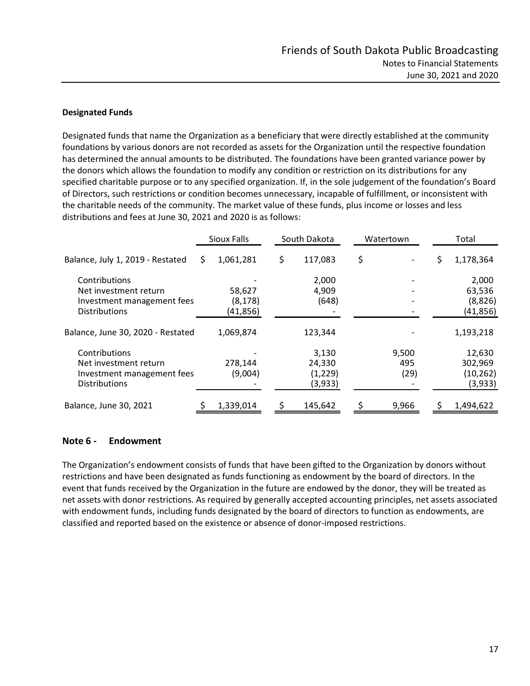## **Designated Funds**

Designated funds that name the Organization as a beneficiary that were directly established at the community foundations by various donors are not recorded as assets for the Organization until the respective foundation has determined the annual amounts to be distributed. The foundations have been granted variance power by the donors which allows the foundation to modify any condition or restriction on its distributions for any specified charitable purpose or to any specified organization. If, in the sole judgement of the foundation's Board of Directors, such restrictions or condition becomes unnecessary, incapable of fulfillment, or inconsistent with the charitable needs of the community. The market value of these funds, plus income or losses and less distributions and fees at June 30, 2021 and 2020 is as follows:

|                                                                                              |     | Sioux Falls                     | South Dakota<br>Watertown              |    |                      | Total |                                           |
|----------------------------------------------------------------------------------------------|-----|---------------------------------|----------------------------------------|----|----------------------|-------|-------------------------------------------|
| Balance, July 1, 2019 - Restated                                                             | \$. | 1,061,281                       | \$<br>117,083                          | \$ |                      | \$    | 1,178,364                                 |
| Contributions<br>Net investment return<br>Investment management fees<br><b>Distributions</b> |     | 58,627<br>(8, 178)<br>(41, 856) | 2,000<br>4,909<br>(648)                |    |                      |       | 2,000<br>63,536<br>(8,826)<br>(41, 856)   |
| Balance, June 30, 2020 - Restated                                                            |     | 1,069,874                       | 123,344                                |    |                      |       | 1,193,218                                 |
| Contributions<br>Net investment return<br>Investment management fees<br><b>Distributions</b> |     | 278,144<br>(9,004)              | 3,130<br>24,330<br>(1, 229)<br>(3,933) |    | 9,500<br>495<br>(29) |       | 12,630<br>302,969<br>(10, 262)<br>(3,933) |
| Balance, June 30, 2021                                                                       |     | 1,339,014                       | 145,642                                |    | 9,966                |       | 1,494,622                                 |

# **Note 6 - Endowment**

The Organization's endowment consists of funds that have been gifted to the Organization by donors without restrictions and have been designated as funds functioning as endowment by the board of directors. In the event that funds received by the Organization in the future are endowed by the donor, they will be treated as net assets with donor restrictions. As required by generally accepted accounting principles, net assets associated with endowment funds, including funds designated by the board of directors to function as endowments, are classified and reported based on the existence or absence of donor-imposed restrictions.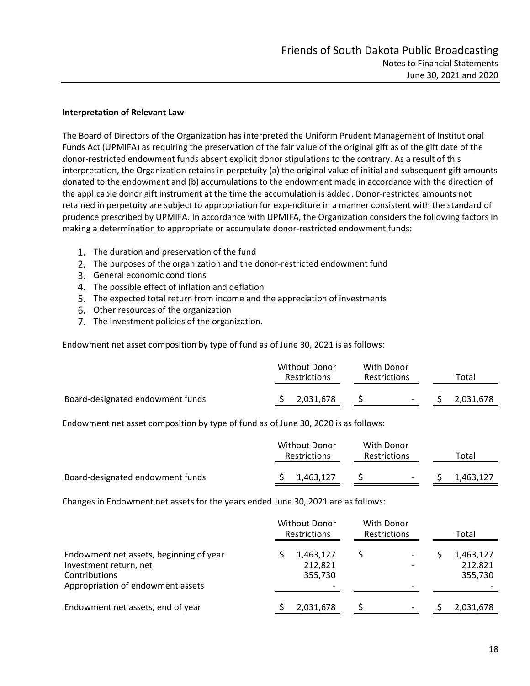## **Interpretation of Relevant Law**

The Board of Directors of the Organization has interpreted the Uniform Prudent Management of Institutional Funds Act (UPMIFA) as requiring the preservation of the fair value of the original gift as of the gift date of the donor-restricted endowment funds absent explicit donor stipulations to the contrary. As a result of this interpretation, the Organization retains in perpetuity (a) the original value of initial and subsequent gift amounts donated to the endowment and (b) accumulations to the endowment made in accordance with the direction of the applicable donor gift instrument at the time the accumulation is added. Donor-restricted amounts not retained in perpetuity are subject to appropriation for expenditure in a manner consistent with the standard of prudence prescribed by UPMIFA. In accordance with UPMIFA, the Organization considers the following factors in making a determination to appropriate or accumulate donor-restricted endowment funds:

- 1. The duration and preservation of the fund
- The purposes of the organization and the donor-restricted endowment fund
- 3. General economic conditions
- The possible effect of inflation and deflation
- 5. The expected total return from income and the appreciation of investments
- 6. Other resources of the organization
- 7. The investment policies of the organization.

Endowment net asset composition by type of fund as of June 30, 2021 is as follows:

|                                  | <b>Without Donor</b><br><b>Restrictions</b> |           | With Donor<br><b>Restrictions</b> |                          | Total |           |
|----------------------------------|---------------------------------------------|-----------|-----------------------------------|--------------------------|-------|-----------|
| Board-designated endowment funds |                                             | 2,031,678 |                                   | $\overline{\phantom{0}}$ |       | 2,031,678 |

Endowment net asset composition by type of fund as of June 30, 2020 is as follows:

|                                  | <b>Without Donor</b><br><b>Restrictions</b> | With Donor<br><b>Restrictions</b> | Total     |  |
|----------------------------------|---------------------------------------------|-----------------------------------|-----------|--|
| Board-designated endowment funds | 1.463.127                                   |                                   | 1,463,127 |  |

Changes in Endowment net assets for the years ended June 30, 2021 are as follows:

|                                                                                                                         | <b>Without Donor</b><br><b>Restrictions</b> | With Donor<br><b>Restrictions</b> | Total                           |  |
|-------------------------------------------------------------------------------------------------------------------------|---------------------------------------------|-----------------------------------|---------------------------------|--|
| Endowment net assets, beginning of year<br>Investment return, net<br>Contributions<br>Appropriation of endowment assets | 1,463,127<br>212,821<br>355,730             |                                   | 1,463,127<br>212,821<br>355,730 |  |
| Endowment net assets, end of year                                                                                       | 2,031,678                                   |                                   | 2,031,678                       |  |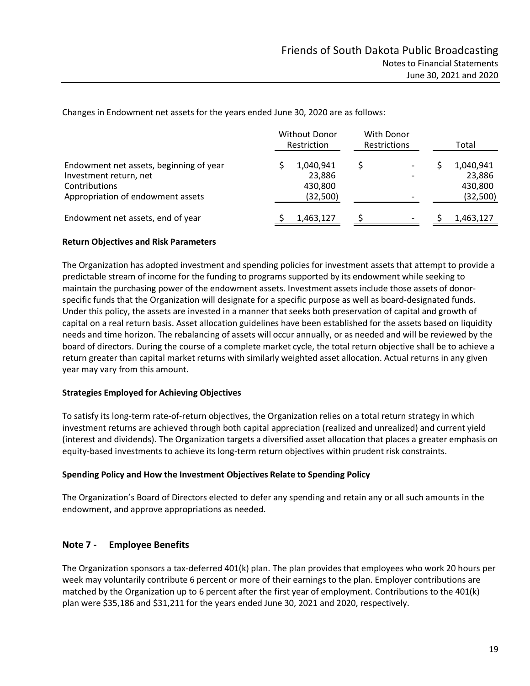Changes in Endowment net assets for the years ended June 30, 2020 are as follows:

|                                                                                                                         | <b>Without Donor</b><br>Restriction        | With Donor<br><b>Restrictions</b> | Total |                                            |  |
|-------------------------------------------------------------------------------------------------------------------------|--------------------------------------------|-----------------------------------|-------|--------------------------------------------|--|
| Endowment net assets, beginning of year<br>Investment return, net<br>Contributions<br>Appropriation of endowment assets | 1,040,941<br>23.886<br>430,800<br>(32,500) |                                   |       | 1,040,941<br>23,886<br>430,800<br>(32,500) |  |
| Endowment net assets, end of year                                                                                       | 1,463,127                                  |                                   |       | 1,463,127                                  |  |

## **Return Objectives and Risk Parameters**

The Organization has adopted investment and spending policies for investment assets that attempt to provide a predictable stream of income for the funding to programs supported by its endowment while seeking to maintain the purchasing power of the endowment assets. Investment assets include those assets of donorspecific funds that the Organization will designate for a specific purpose as well as board-designated funds. Under this policy, the assets are invested in a manner that seeks both preservation of capital and growth of capital on a real return basis. Asset allocation guidelines have been established for the assets based on liquidity needs and time horizon. The rebalancing of assets will occur annually, or as needed and will be reviewed by the board of directors. During the course of a complete market cycle, the total return objective shall be to achieve a return greater than capital market returns with similarly weighted asset allocation. Actual returns in any given year may vary from this amount.

# **Strategies Employed for Achieving Objectives**

To satisfy its long-term rate-of-return objectives, the Organization relies on a total return strategy in which investment returns are achieved through both capital appreciation (realized and unrealized) and current yield (interest and dividends). The Organization targets a diversified asset allocation that places a greater emphasis on equity-based investments to achieve its long-term return objectives within prudent risk constraints.

## **Spending Policy and How the Investment Objectives Relate to Spending Policy**

The Organization's Board of Directors elected to defer any spending and retain any or all such amounts in the endowment, and approve appropriations as needed.

# **Note 7 - Employee Benefits**

The Organization sponsors a tax-deferred 401(k) plan. The plan provides that employees who work 20 hours per week may voluntarily contribute 6 percent or more of their earnings to the plan. Employer contributions are matched by the Organization up to 6 percent after the first year of employment. Contributions to the 401(k) plan were \$35,186 and \$31,211 for the years ended June 30, 2021 and 2020, respectively.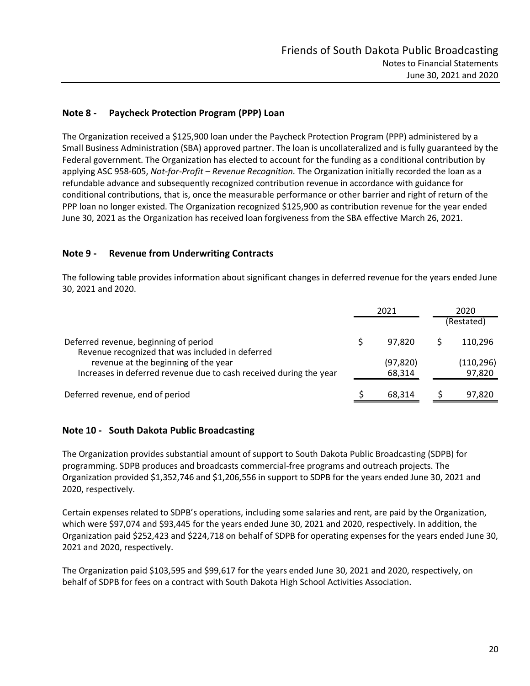# **Note 8 - Paycheck Protection Program (PPP) Loan**

The Organization received a \$125,900 loan under the Paycheck Protection Program (PPP) administered by a Small Business Administration (SBA) approved partner. The loan is uncollateralized and is fully guaranteed by the Federal government. The Organization has elected to account for the funding as a conditional contribution by applying ASC 958-605, *Not-for-Profit – Revenue Recognition.* The Organization initially recorded the loan as a refundable advance and subsequently recognized contribution revenue in accordance with guidance for conditional contributions, that is, once the measurable performance or other barrier and right of return of the PPP loan no longer existed. The Organization recognized \$125,900 as contribution revenue for the year ended June 30, 2021 as the Organization has received loan forgiveness from the SBA effective March 26, 2021.

# **Note 9 - Revenue from Underwriting Contracts**

The following table provides information about significant changes in deferred revenue for the years ended June 30, 2021 and 2020.

|                                                                                                            | 2021                | 2020<br>(Restated)   |
|------------------------------------------------------------------------------------------------------------|---------------------|----------------------|
| Deferred revenue, beginning of period<br>Revenue recognized that was included in deferred                  | 97.820              | 110.296              |
| revenue at the beginning of the year<br>Increases in deferred revenue due to cash received during the year | (97, 820)<br>68,314 | (110, 296)<br>97,820 |
| Deferred revenue, end of period                                                                            | 68,314              | 97,820               |

# **Note 10 - South Dakota Public Broadcasting**

The Organization provides substantial amount of support to South Dakota Public Broadcasting (SDPB) for programming. SDPB produces and broadcasts commercial-free programs and outreach projects. The Organization provided \$1,352,746 and \$1,206,556 in support to SDPB for the years ended June 30, 2021 and 2020, respectively.

Certain expenses related to SDPB's operations, including some salaries and rent, are paid by the Organization, which were \$97,074 and \$93,445 for the years ended June 30, 2021 and 2020, respectively. In addition, the Organization paid \$252,423 and \$224,718 on behalf of SDPB for operating expenses for the years ended June 30, 2021 and 2020, respectively.

The Organization paid \$103,595 and \$99,617 for the years ended June 30, 2021 and 2020, respectively, on behalf of SDPB for fees on a contract with South Dakota High School Activities Association.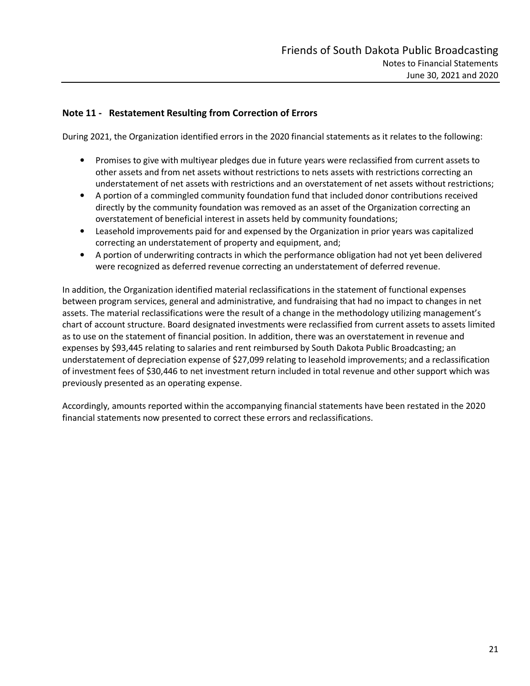# **Note 11 - Restatement Resulting from Correction of Errors**

During 2021, the Organization identified errors in the 2020 financial statements as it relates to the following:

- Promises to give with multiyear pledges due in future years were reclassified from current assets to other assets and from net assets without restrictions to nets assets with restrictions correcting an understatement of net assets with restrictions and an overstatement of net assets without restrictions;
- A portion of a commingled community foundation fund that included donor contributions received directly by the community foundation was removed as an asset of the Organization correcting an overstatement of beneficial interest in assets held by community foundations;
- Leasehold improvements paid for and expensed by the Organization in prior years was capitalized correcting an understatement of property and equipment, and;
- A portion of underwriting contracts in which the performance obligation had not yet been delivered were recognized as deferred revenue correcting an understatement of deferred revenue.

In addition, the Organization identified material reclassifications in the statement of functional expenses between program services, general and administrative, and fundraising that had no impact to changes in net assets. The material reclassifications were the result of a change in the methodology utilizing management's chart of account structure. Board designated investments were reclassified from current assets to assets limited as to use on the statement of financial position. In addition, there was an overstatement in revenue and expenses by \$93,445 relating to salaries and rent reimbursed by South Dakota Public Broadcasting; an understatement of depreciation expense of \$27,099 relating to leasehold improvements; and a reclassification of investment fees of \$30,446 to net investment return included in total revenue and other support which was previously presented as an operating expense.

Accordingly, amounts reported within the accompanying financial statements have been restated in the 2020 financial statements now presented to correct these errors and reclassifications.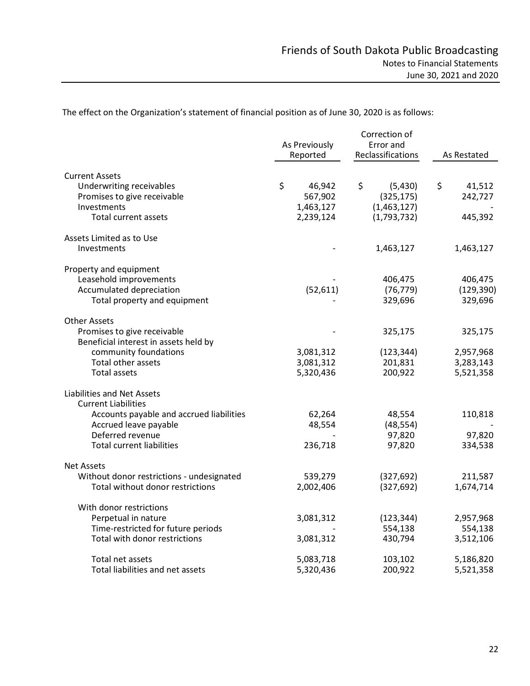The effect on the Organization's statement of financial position as of June 30, 2020 is as follows:

|                                           |    | As Previously<br>Reported |    | Correction of<br>Error and<br>Reclassifications |    | As Restated |  |
|-------------------------------------------|----|---------------------------|----|-------------------------------------------------|----|-------------|--|
| <b>Current Assets</b>                     |    |                           |    |                                                 |    |             |  |
| Underwriting receivables                  | \$ | 46,942                    | \$ | (5,430)                                         | \$ | 41,512      |  |
| Promises to give receivable               |    | 567,902                   |    | (325, 175)                                      |    | 242,727     |  |
| Investments                               |    | 1,463,127                 |    | (1,463,127)                                     |    |             |  |
| Total current assets                      |    | 2,239,124                 |    | (1,793,732)                                     |    | 445,392     |  |
| Assets Limited as to Use                  |    |                           |    |                                                 |    |             |  |
| Investments                               |    |                           |    | 1,463,127                                       |    | 1,463,127   |  |
| Property and equipment                    |    |                           |    |                                                 |    |             |  |
| Leasehold improvements                    |    |                           |    | 406,475                                         |    | 406,475     |  |
| Accumulated depreciation                  |    | (52, 611)                 |    | (76, 779)                                       |    | (129, 390)  |  |
| Total property and equipment              |    |                           |    | 329,696                                         |    | 329,696     |  |
| <b>Other Assets</b>                       |    |                           |    |                                                 |    |             |  |
| Promises to give receivable               |    |                           |    | 325,175                                         |    | 325,175     |  |
| Beneficial interest in assets held by     |    |                           |    |                                                 |    |             |  |
| community foundations                     |    | 3,081,312                 |    | (123, 344)                                      |    | 2,957,968   |  |
| <b>Total other assets</b>                 |    | 3,081,312                 |    | 201,831                                         |    | 3,283,143   |  |
| <b>Total assets</b>                       |    | 5,320,436                 |    | 200,922                                         |    | 5,521,358   |  |
| Liabilities and Net Assets                |    |                           |    |                                                 |    |             |  |
| <b>Current Liabilities</b>                |    |                           |    |                                                 |    |             |  |
| Accounts payable and accrued liabilities  |    | 62,264                    |    | 48,554                                          |    | 110,818     |  |
| Accrued leave payable                     |    | 48,554                    |    | (48, 554)                                       |    |             |  |
| Deferred revenue                          |    |                           |    | 97,820                                          |    | 97,820      |  |
| <b>Total current liabilities</b>          |    | 236,718                   |    | 97,820                                          |    | 334,538     |  |
| <b>Net Assets</b>                         |    |                           |    |                                                 |    |             |  |
| Without donor restrictions - undesignated |    | 539,279                   |    | (327, 692)                                      |    | 211,587     |  |
| Total without donor restrictions          |    | 2,002,406                 |    | (327, 692)                                      |    | 1,674,714   |  |
| With donor restrictions                   |    |                           |    |                                                 |    |             |  |
| Perpetual in nature                       |    | 3,081,312                 |    | (123, 344)                                      |    | 2,957,968   |  |
| Time-restricted for future periods        |    |                           |    | 554,138                                         |    | 554,138     |  |
| Total with donor restrictions             |    | 3,081,312                 |    | 430,794                                         |    | 3,512,106   |  |
| Total net assets                          |    | 5,083,718                 |    | 103,102                                         |    | 5,186,820   |  |
| Total liabilities and net assets          |    | 5,320,436                 |    | 200,922                                         |    | 5,521,358   |  |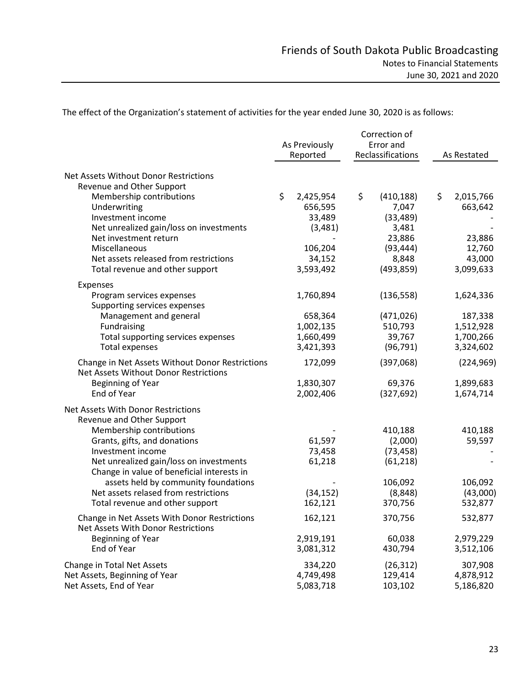The effect of the Organization's statement of activities for the year ended June 30, 2020 is as follows:

|                                                                                          |    | As Previously<br>Reported |    | Correction of<br>Error and<br>Reclassifications |    | As Restated            |  |
|------------------------------------------------------------------------------------------|----|---------------------------|----|-------------------------------------------------|----|------------------------|--|
| Net Assets Without Donor Restrictions<br>Revenue and Other Support                       |    |                           |    |                                                 |    |                        |  |
| Membership contributions<br>Underwriting                                                 | \$ | 2,425,954<br>656,595      | \$ | (410, 188)<br>7,047                             | \$ | 2,015,766<br>663,642   |  |
| Investment income<br>Net unrealized gain/loss on investments                             |    | 33,489<br>(3,481)         |    | (33, 489)<br>3,481                              |    |                        |  |
| Net investment return                                                                    |    |                           |    | 23,886                                          |    | 23,886                 |  |
| Miscellaneous                                                                            |    | 106,204                   |    | (93, 444)                                       |    | 12,760                 |  |
| Net assets released from restrictions<br>Total revenue and other support                 |    | 34,152<br>3,593,492       |    | 8,848<br>(493, 859)                             |    | 43,000<br>3,099,633    |  |
| Expenses                                                                                 |    |                           |    |                                                 |    |                        |  |
| Program services expenses<br>Supporting services expenses                                |    | 1,760,894                 |    | (136, 558)                                      |    | 1,624,336              |  |
| Management and general                                                                   |    | 658,364                   |    | (471, 026)                                      |    | 187,338                |  |
| Fundraising                                                                              |    | 1,002,135                 |    | 510,793                                         |    | 1,512,928              |  |
| Total supporting services expenses<br><b>Total expenses</b>                              |    | 1,660,499<br>3,421,393    |    | 39,767<br>(96, 791)                             |    | 1,700,266<br>3,324,602 |  |
| Change in Net Assets Without Donor Restrictions<br>Net Assets Without Donor Restrictions |    | 172,099                   |    | (397,068)                                       |    | (224, 969)             |  |
| Beginning of Year<br>End of Year                                                         |    | 1,830,307<br>2,002,406    |    | 69,376<br>(327, 692)                            |    | 1,899,683<br>1,674,714 |  |
| Net Assets With Donor Restrictions<br>Revenue and Other Support                          |    |                           |    |                                                 |    |                        |  |
| Membership contributions                                                                 |    |                           |    | 410,188                                         |    | 410,188                |  |
| Grants, gifts, and donations                                                             |    | 61,597                    |    | (2,000)                                         |    | 59,597                 |  |
| Investment income                                                                        |    | 73,458                    |    | (73, 458)                                       |    |                        |  |
| Net unrealized gain/loss on investments<br>Change in value of beneficial interests in    |    | 61,218                    |    | (61, 218)                                       |    |                        |  |
| assets held by community foundations                                                     |    |                           |    | 106,092                                         |    | 106,092                |  |
| Net assets relased from restrictions<br>Total revenue and other support                  |    | (34, 152)<br>162,121      |    | (8, 848)<br>370,756                             |    | (43,000)<br>532,877    |  |
| Change in Net Assets With Donor Restrictions<br>Net Assets With Donor Restrictions       |    | 162,121                   |    | 370,756                                         |    | 532,877                |  |
| Beginning of Year<br>End of Year                                                         |    | 2,919,191<br>3,081,312    |    | 60,038<br>430,794                               |    | 2,979,229<br>3,512,106 |  |
| Change in Total Net Assets                                                               |    | 334,220                   |    | (26, 312)                                       |    | 307,908                |  |
| Net Assets, Beginning of Year                                                            |    | 4,749,498                 |    | 129,414                                         |    | 4,878,912              |  |
| Net Assets, End of Year                                                                  |    | 5,083,718                 |    | 103,102                                         |    | 5,186,820              |  |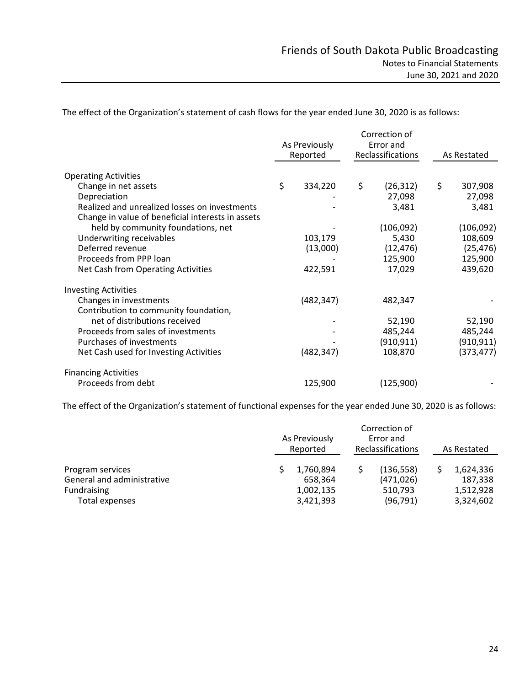The effect of the Organization's statement of cash flows for the year ended June 30, 2020 is as follows:

|                                                                                                    |    | As Previously<br>Reported |    | Correction of<br>Error and<br>Reclassifications |    | As Restated |  |
|----------------------------------------------------------------------------------------------------|----|---------------------------|----|-------------------------------------------------|----|-------------|--|
| <b>Operating Activities</b>                                                                        |    |                           |    |                                                 |    |             |  |
| Change in net assets                                                                               | \$ | 334,220                   | \$ | (26, 312)                                       | \$ | 307,908     |  |
| Depreciation                                                                                       |    |                           |    | 27,098                                          |    | 27,098      |  |
| Realized and unrealized losses on investments<br>Change in value of beneficial interests in assets |    |                           |    | 3,481                                           |    | 3,481       |  |
| held by community foundations, net                                                                 |    |                           |    | (106, 092)                                      |    | (106, 092)  |  |
| Underwriting receivables                                                                           |    | 103,179                   |    | 5,430                                           |    | 108,609     |  |
| Deferred revenue                                                                                   |    | (13,000)                  |    | (12, 476)                                       |    | (25, 476)   |  |
| Proceeds from PPP loan                                                                             |    |                           |    | 125,900                                         |    | 125,900     |  |
| Net Cash from Operating Activities                                                                 |    | 422,591                   |    | 17,029                                          |    | 439,620     |  |
| <b>Investing Activities</b>                                                                        |    |                           |    |                                                 |    |             |  |
| Changes in investments                                                                             |    | (482, 347)                |    | 482,347                                         |    |             |  |
| Contribution to community foundation,                                                              |    |                           |    |                                                 |    |             |  |
| net of distributions received                                                                      |    |                           |    | 52,190                                          |    | 52,190      |  |
| Proceeds from sales of investments                                                                 |    |                           |    | 485,244                                         |    | 485,244     |  |
| Purchases of investments                                                                           |    |                           |    | (910,911)                                       |    | (910, 911)  |  |
| Net Cash used for Investing Activities                                                             |    | (482, 347)                |    | 108,870                                         |    | (373, 477)  |  |
| <b>Financing Activities</b>                                                                        |    |                           |    |                                                 |    |             |  |
| Proceeds from debt                                                                                 |    | 125,900                   |    | (125,900)                                       |    |             |  |

The effect of the Organization's statement of functional expenses for the year ended June 30, 2020 is as follows:

|                                                                                 | As Previously<br>Reported |                                                | Correction of<br>Error and<br>Reclassifications |                                                  | As Restated |                                                |
|---------------------------------------------------------------------------------|---------------------------|------------------------------------------------|-------------------------------------------------|--------------------------------------------------|-------------|------------------------------------------------|
| Program services<br>General and administrative<br>Fundraising<br>Total expenses |                           | 1,760,894<br>658,364<br>1,002,135<br>3,421,393 |                                                 | (136, 558)<br>(471, 026)<br>510,793<br>(96, 791) |             | 1,624,336<br>187,338<br>1,512,928<br>3,324,602 |